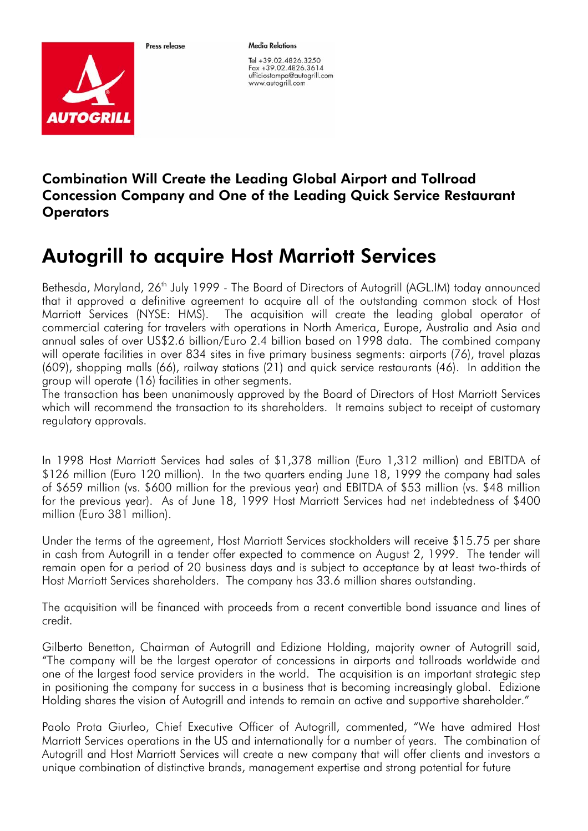

Proce release

**Media Relations** 

Tel +39.02.4826.3250 Fax +39.02.4826.3614 ufficiostampa@autogrill.com www.autogrill.com

## Combination Will Create the Leading Global Airport and Tollroad Concession Company and One of the Leading Quick Service Restaurant **Operators**

## Autogrill to acquire Host Marriott Services

Bethesda, Maryland, 26<sup>th</sup> July 1999 - The Board of Directors of Autogrill (AGL.IM) today announced that it approved a definitive agreement to acquire all of the outstanding common stock of Host Marriott Services (NYSE: HMS). The acquisition will create the leading global operator of commercial catering for travelers with operations in North America, Europe, Australia and Asia and annual sales of over US\$2.6 billion/Euro 2.4 billion based on 1998 data. The combined company will operate facilities in over 834 sites in five primary business segments: airports (76), travel plazas (609), shopping malls (66), railway stations (21) and quick service restaurants (46). In addition the group will operate (16) facilities in other segments.

The transaction has been unanimously approved by the Board of Directors of Host Marriott Services which will recommend the transaction to its shareholders. It remains subject to receipt of customary regulatory approvals.

In 1998 Host Marriott Services had sales of \$1,378 million (Euro 1,312 million) and EBITDA of \$126 million (Euro 120 million). In the two quarters ending June 18, 1999 the company had sales of \$659 million (vs. \$600 million for the previous year) and EBITDA of \$53 million (vs. \$48 million for the previous year). As of June 18, 1999 Host Marriott Services had net indebtedness of \$400 million (Euro 381 million).

Under the terms of the agreement, Host Marriott Services stockholders will receive \$15.75 per share in cash from Autogrill in a tender offer expected to commence on August 2, 1999. The tender will remain open for a period of 20 business days and is subject to acceptance by at least two-thirds of Host Marriott Services shareholders. The company has 33.6 million shares outstanding.

The acquisition will be financed with proceeds from a recent convertible bond issuance and lines of credit.

Gilberto Benetton, Chairman of Autogrill and Edizione Holding, majority owner of Autogrill said, "The company will be the largest operator of concessions in airports and tollroads worldwide and one of the largest food service providers in the world. The acquisition is an important strategic step in positioning the company for success in a business that is becoming increasingly global. Edizione Holding shares the vision of Autogrill and intends to remain an active and supportive shareholder."

Paolo Prota Giurleo, Chief Executive Officer of Autogrill, commented, "We have admired Host Marriott Services operations in the US and internationally for a number of years. The combination of Autogrill and Host Marriott Services will create a new company that will offer clients and investors a unique combination of distinctive brands, management expertise and strong potential for future